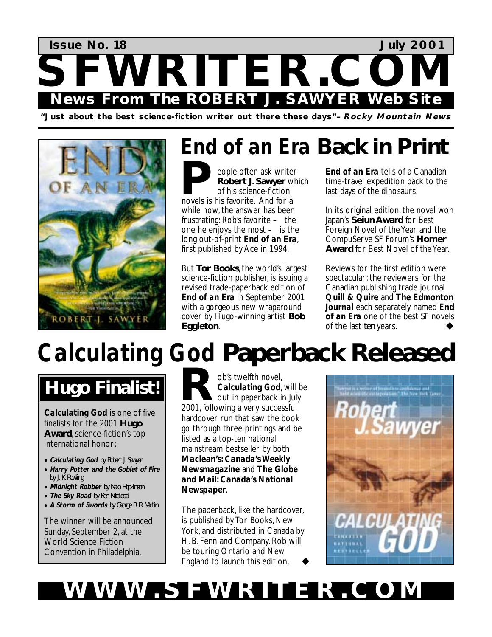

**"Just about the best science-fiction writer out there these days"–Rocky Mountain News** 



## *End of an Era* **Back in Print**

eople often ask writer **Robert J. Sawyer** which of his science-fiction **P** eople often ask writer<br> **Robert J. Sawyer** with<br>
of his science-fiction<br>
novels is his favorite. And for a while now, the answer has been frustrating: Rob's favorite – the one he enjoys the most – is the long out-of-print *End of an Era*, first published by Ace in 1994.

But **Tor Books**, the world's largest science-fiction publisher, is issuing a revised trade-paperback edition of *End of an Era* in September 2001 with a gorgeous new wraparound cover by Hugo-winning artist **Bob Eggleton**.

*End of an Era* tells of a Canadian time-travel expedition back to the last days of the dinosaurs.

In its original edition, the novel won Japan's **Seiun Award** for Best Foreign Novel of the Year and the CompuServe SF Forum's **Homer Award** for Best Novel of the Year.

Reviews for the first edition were spectacular: the reviewers for the Canadian publishing trade journal *Quill & Quire* and *The Edmonton Journal* each separately named *End of an Era* one of the best SF novels of the last *ten* years.

# *Calculating God* **Paperback Released**

## **Hugo Finalist!**

*Calculating God* is one of five finalists for the 2001 **Hugo Award**, science-fiction's top international honor:

- **Calculating God** by Robert J. Sawyer
- **Harry Potter and the Goblet of Fire**  by J. K. Rowling
- **Midnight Robber** by Nalo Hopkinson
- **The Sky Road** by Ken MacLeod
- **A Storm of Swords** by George R. R. Martin

The winner will be announced Sunday, September 2, at the World Science Fiction Convention in Philadelphia.

ob's twelfth novel, *Calculating God*, will be out in paperback in July b's twelfth novel,<br> **Calculating God**, will<br>
2001, following a very successful hardcover run that saw the book go through three printings and be listed as a top-ten national mainstream bestseller by both *Maclean's: Canada's Weekly Newsmagazine* and *The Globe and Mail: Canada's National Newspaper*.

The paperback, like the hardcover, is published by Tor Books, New York, and distributed in Canada by H. B. Fenn and Company. Rob will be touring Ontario and New England to launch this edition. !



### WWW.SFWRITER.CO